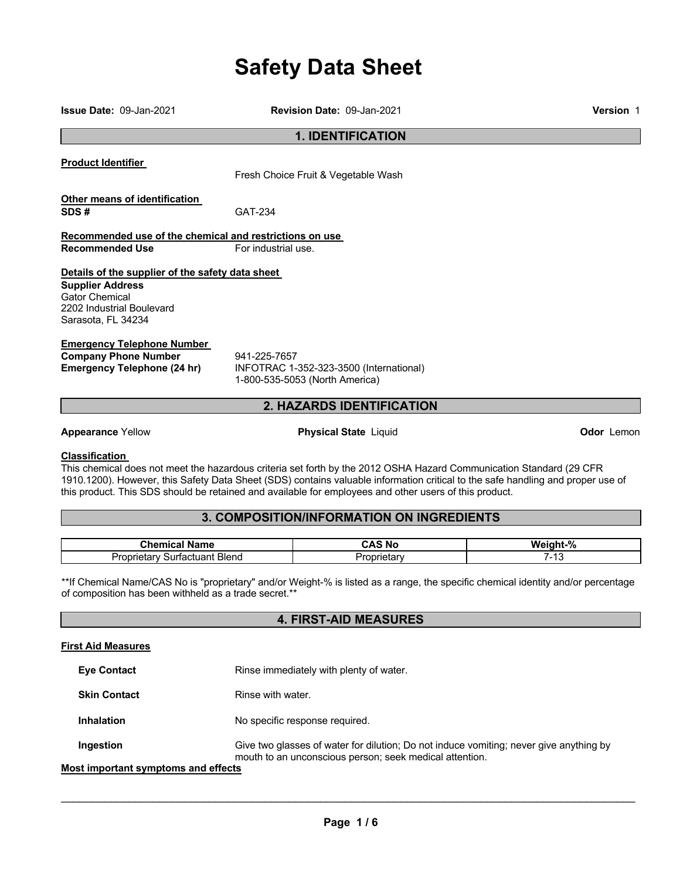# **Safety Data Sheet**

Fresh Choice Fruit & Vegetable Wash **Other means of identification SDS #** GAT-234 **Details of the supplier of the safety data sheet Company Phone Number** 941-225-7657<br>**Emergency Telephone (24 hr)** INFOTRAC 1-**Emergency Telephone (24 hr)** INFOTRAC 1-352-323-3500 (International) 1-800-535-5053 (North America)

**Appearance** Yellow **Physical State** Liquid **Odor** Lemon

#### **Classification**

This chemical does not meet the hazardous criteria set forth by the 2012 OSHA Hazard Communication Standard (29 CFR 1910.1200). However, this Safety Data Sheet (SDS) contains valuable information critical to the safe handling and proper use of this product. This SDS should be retained and available for employees and other users of this product.

# **3. COMPOSITION/INFORMATION ON INGREDIENTS**

| <b>Phomic-</b><br>Name                                  | 'N.         | 0<br>w.<br>70 |
|---------------------------------------------------------|-------------|---------------|
| Bleng<br>Surtactuant<br>, .<br>ле,<br>гог<br>1 I V<br>. | ⊣ ا<br>.clo | ՝             |

\*\*If Chemical Name/CAS No is "proprietary" and/or Weight-% is listed as a range, the specific chemical identity and/or percentage of composition has been withheld as a trade secret.\*\*

# **4. FIRST-AID MEASURES**

#### **First Aid Measures**

**Eye Contact Rinse immediately with plenty of water.** 

**Skin Contact Rinse with water.** 

**Inhalation No specific response required.** 

**Ingestion** Give two glasses of water for dilution; Do not induce vomiting; never give anything by mouth to an unconscious person; seek medical attention.

**Most important symptoms and effects**

 $\mathcal{L}_\mathcal{L} = \mathcal{L}_\mathcal{L} = \mathcal{L}_\mathcal{L} = \mathcal{L}_\mathcal{L} = \mathcal{L}_\mathcal{L} = \mathcal{L}_\mathcal{L} = \mathcal{L}_\mathcal{L} = \mathcal{L}_\mathcal{L} = \mathcal{L}_\mathcal{L} = \mathcal{L}_\mathcal{L} = \mathcal{L}_\mathcal{L} = \mathcal{L}_\mathcal{L} = \mathcal{L}_\mathcal{L} = \mathcal{L}_\mathcal{L} = \mathcal{L}_\mathcal{L} = \mathcal{L}_\mathcal{L} = \mathcal{L}_\mathcal{L}$ 

**Issue Date:** 09-Jan-2021 **Revision Date:** 09-Jan-2021 **Version** 1

**1. IDENTIFICATION** 

**Product Identifier** 

**Recommended use of the chemical and restrictions on use Recommended Use For industrial use.** 

**Supplier Address** Gator Chemical 2202 Industrial Boulevard Sarasota, FL 34234

**Emergency Telephone Number** 

# **2. HAZARDS IDENTIFICATION**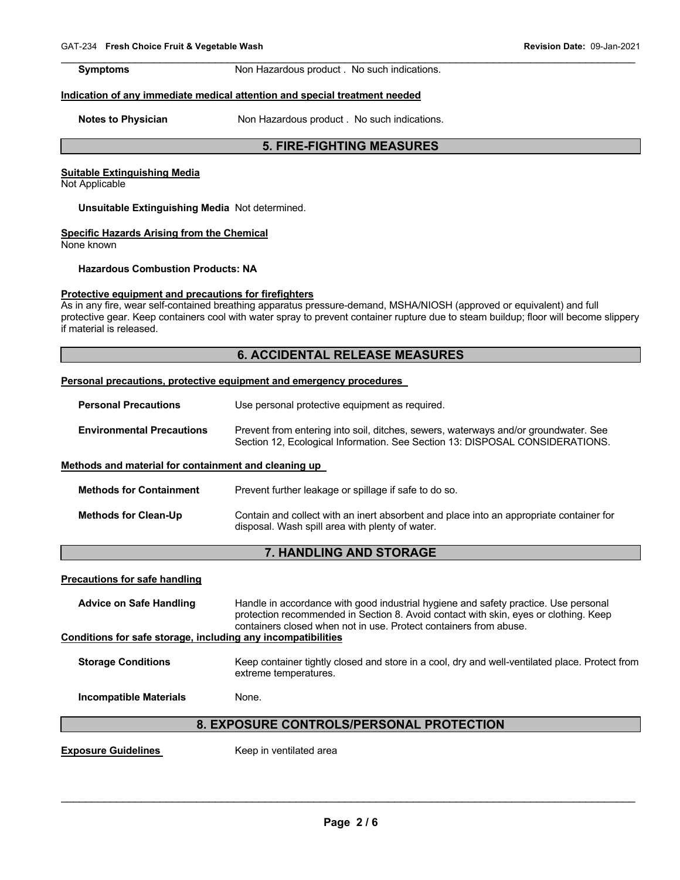**Symptoms Non Hazardous product . No such indications.** 

 $\mathcal{L}_\mathcal{L} = \mathcal{L}_\mathcal{L} = \mathcal{L}_\mathcal{L} = \mathcal{L}_\mathcal{L} = \mathcal{L}_\mathcal{L} = \mathcal{L}_\mathcal{L} = \mathcal{L}_\mathcal{L} = \mathcal{L}_\mathcal{L} = \mathcal{L}_\mathcal{L} = \mathcal{L}_\mathcal{L} = \mathcal{L}_\mathcal{L} = \mathcal{L}_\mathcal{L} = \mathcal{L}_\mathcal{L} = \mathcal{L}_\mathcal{L} = \mathcal{L}_\mathcal{L} = \mathcal{L}_\mathcal{L} = \mathcal{L}_\mathcal{L}$ 

#### **Indication of any immediate medical attention and special treatment needed**

**Notes to Physician <b>Notes Notes to Physician Notes Notes h** 

## **5. FIRE-FIGHTING MEASURES**

#### **Suitable Extinguishing Media**

Not Applicable

#### **Unsuitable Extinguishing Media** Not determined.

#### **Specific Hazards Arising from the Chemical**

None known

## **Hazardous Combustion Products: NA**

### **Protective equipment and precautions for firefighters**

As in any fire, wear self-contained breathing apparatus pressure-demand, MSHA/NIOSH (approved or equivalent) and full protective gear. Keep containers cool with water spray to prevent container rupture due to steam buildup; floor will become slippery if material is released.

# **6. ACCIDENTAL RELEASE MEASURES**

#### **Personal precautions, protective equipment and emergency procedures**

| <b>Personal Precautions</b>      | Use personal protective equipment as required.                                                                                                                      |  |  |  |
|----------------------------------|---------------------------------------------------------------------------------------------------------------------------------------------------------------------|--|--|--|
| <b>Environmental Precautions</b> | Prevent from entering into soil, ditches, sewers, waterways and/or groundwater. See<br>Section 12, Ecological Information. See Section 13: DISPOSAL CONSIDERATIONS. |  |  |  |

#### **Methods and material for containment and cleaning up**

| <b>Methods for Containment</b> | Prevent further leakage or spillage if safe to do so.                                                                                      |
|--------------------------------|--------------------------------------------------------------------------------------------------------------------------------------------|
| Methods for Clean-Up           | Contain and collect with an inert absorbent and place into an appropriate container for<br>disposal. Wash spill area with plenty of water. |

# **7. HANDLING AND STORAGE**

#### **Precautions for safe handling**

| <b>Advice on Safe Handling</b>                               | Handle in accordance with good industrial hygiene and safety practice. Use personal<br>protection recommended in Section 8. Avoid contact with skin, eyes or clothing. Keep<br>containers closed when not in use. Protect containers from abuse. |
|--------------------------------------------------------------|--------------------------------------------------------------------------------------------------------------------------------------------------------------------------------------------------------------------------------------------------|
| Conditions for safe storage, including any incompatibilities |                                                                                                                                                                                                                                                  |
| <b>Storage Conditions</b>                                    | Keep container tightly closed and store in a cool, dry and well-ventilated place. Protect from<br>extreme temperatures.                                                                                                                          |

**Incompatible Materials None.** 

# **8. EXPOSURE CONTROLS/PERSONAL PROTECTION**

**Exposure Guidelines Keep in ventilated area**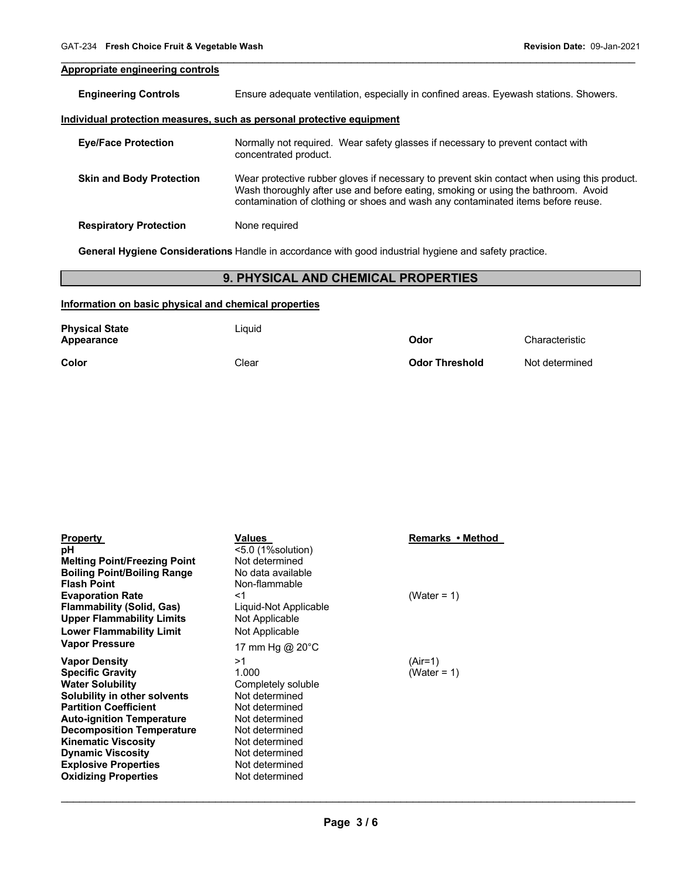# **Appropriate engineering controls**

**Engineering Controls** Ensure adequate ventilation, especially in confined areas. Eyewash stations. Showers.

 $\mathcal{L}_\mathcal{L} = \mathcal{L}_\mathcal{L} = \mathcal{L}_\mathcal{L} = \mathcal{L}_\mathcal{L} = \mathcal{L}_\mathcal{L} = \mathcal{L}_\mathcal{L} = \mathcal{L}_\mathcal{L} = \mathcal{L}_\mathcal{L} = \mathcal{L}_\mathcal{L} = \mathcal{L}_\mathcal{L} = \mathcal{L}_\mathcal{L} = \mathcal{L}_\mathcal{L} = \mathcal{L}_\mathcal{L} = \mathcal{L}_\mathcal{L} = \mathcal{L}_\mathcal{L} = \mathcal{L}_\mathcal{L} = \mathcal{L}_\mathcal{L}$ 

#### **Individual protection measures, such as personal protective equipment**

| <b>Eye/Face Protection</b>      | Normally not required. Wear safety glasses if necessary to prevent contact with<br>concentrated product.                                                                                                                                                             |
|---------------------------------|----------------------------------------------------------------------------------------------------------------------------------------------------------------------------------------------------------------------------------------------------------------------|
| <b>Skin and Body Protection</b> | Wear protective rubber gloves if necessary to prevent skin contact when using this product.<br>Wash thoroughly after use and before eating, smoking or using the bathroom. Avoid<br>contamination of clothing or shoes and wash any contaminated items before reuse. |
| <b>Respiratory Protection</b>   | None required                                                                                                                                                                                                                                                        |

**General Hygiene Considerations** Handle in accordance with good industrial hygiene and safety practice.

# **9. PHYSICAL AND CHEMICAL PROPERTIES**

### **Information on basic physical and chemical properties**

| <b>Physical State</b><br>Appearance | Liauid | Odor                  | Characteristic |
|-------------------------------------|--------|-----------------------|----------------|
| Color                               | Clear  | <b>Odor Threshold</b> | Not determined |

| <b>Property</b>                     | Values                    | Remarks • Method |
|-------------------------------------|---------------------------|------------------|
| рH                                  | <5.0 (1%solution)         |                  |
| <b>Melting Point/Freezing Point</b> | Not determined            |                  |
| <b>Boiling Point/Boiling Range</b>  | No data available         |                  |
| <b>Flash Point</b>                  | Non-flammable             |                  |
| <b>Evaporation Rate</b>             | $<$ 1                     | (Water = 1)      |
| <b>Flammability (Solid, Gas)</b>    | Liquid-Not Applicable     |                  |
| <b>Upper Flammability Limits</b>    | Not Applicable            |                  |
| <b>Lower Flammability Limit</b>     | Not Applicable            |                  |
| <b>Vapor Pressure</b>               | 17 mm Hg @ $20^{\circ}$ C |                  |
| <b>Vapor Density</b>                | >1                        | $(Air=1)$        |
| <b>Specific Gravity</b>             | 1.000                     | (Water = 1)      |
| <b>Water Solubility</b>             | Completely soluble        |                  |
| Solubility in other solvents        | Not determined            |                  |
| <b>Partition Coefficient</b>        | Not determined            |                  |
| <b>Auto-ignition Temperature</b>    | Not determined            |                  |
| <b>Decomposition Temperature</b>    | Not determined            |                  |
| <b>Kinematic Viscosity</b>          | Not determined            |                  |
| <b>Dynamic Viscosity</b>            | Not determined            |                  |
| <b>Explosive Properties</b>         | Not determined            |                  |
| <b>Oxidizing Properties</b>         | Not determined            |                  |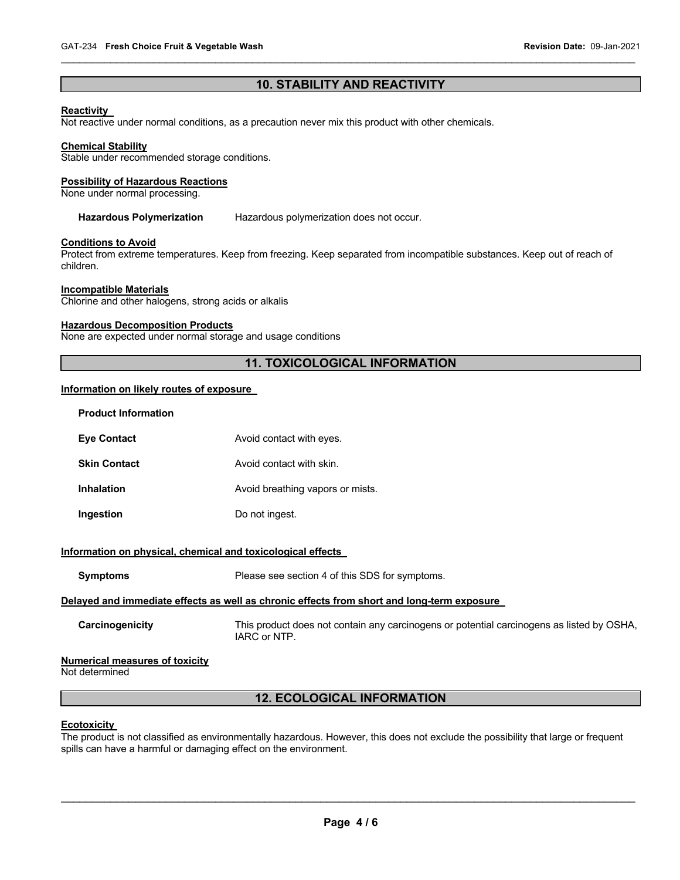# **10. STABILITY AND REACTIVITY**

 $\mathcal{L}_\mathcal{L} = \mathcal{L}_\mathcal{L} = \mathcal{L}_\mathcal{L} = \mathcal{L}_\mathcal{L} = \mathcal{L}_\mathcal{L} = \mathcal{L}_\mathcal{L} = \mathcal{L}_\mathcal{L} = \mathcal{L}_\mathcal{L} = \mathcal{L}_\mathcal{L} = \mathcal{L}_\mathcal{L} = \mathcal{L}_\mathcal{L} = \mathcal{L}_\mathcal{L} = \mathcal{L}_\mathcal{L} = \mathcal{L}_\mathcal{L} = \mathcal{L}_\mathcal{L} = \mathcal{L}_\mathcal{L} = \mathcal{L}_\mathcal{L}$ 

#### **Reactivity**

Not reactive under normal conditions, as a precaution never mix this product with other chemicals.

#### **Chemical Stability**

Stable under recommended storage conditions.

#### **Possibility of Hazardous Reactions**

None under normal processing.

**Hazardous Polymerization** Hazardous polymerization does not occur.

#### **Conditions to Avoid**

Protect from extreme temperatures. Keep from freezing. Keep separated from incompatible substances. Keep out of reach of children.

#### **Incompatible Materials**

Chlorine and other halogens, strong acids or alkalis

### **Hazardous Decomposition Products**

None are expected under normal storage and usage conditions

# **11. TOXICOLOGICAL INFORMATION**

#### **Information on likely routes of exposure**

| <b>Product Information</b>                                                                 |                                                                                                           |  |  |
|--------------------------------------------------------------------------------------------|-----------------------------------------------------------------------------------------------------------|--|--|
| <b>Eye Contact</b>                                                                         | Avoid contact with eyes.                                                                                  |  |  |
| <b>Skin Contact</b>                                                                        | Avoid contact with skin.                                                                                  |  |  |
| <b>Inhalation</b>                                                                          | Avoid breathing vapors or mists.                                                                          |  |  |
| Ingestion                                                                                  | Do not ingest.                                                                                            |  |  |
| Information on physical, chemical and toxicological effects                                |                                                                                                           |  |  |
| <b>Symptoms</b>                                                                            | Please see section 4 of this SDS for symptoms.                                                            |  |  |
| Delayed and immediate effects as well as chronic effects from short and long-term exposure |                                                                                                           |  |  |
| Carcinogenicity                                                                            | This product does not contain any carcinogens or potential carcinogens as listed by OSHA,<br>IARC or NTP. |  |  |
| <b>Numerical measures of toxicity</b><br>Not determined                                    |                                                                                                           |  |  |
| <b>12. ECOLOGICAL INFORMATION</b>                                                          |                                                                                                           |  |  |

#### **Ecotoxicity**

The product is not classified as environmentally hazardous. However, this does not exclude the possibility that large or frequent spills can have a harmful or damaging effect on the environment.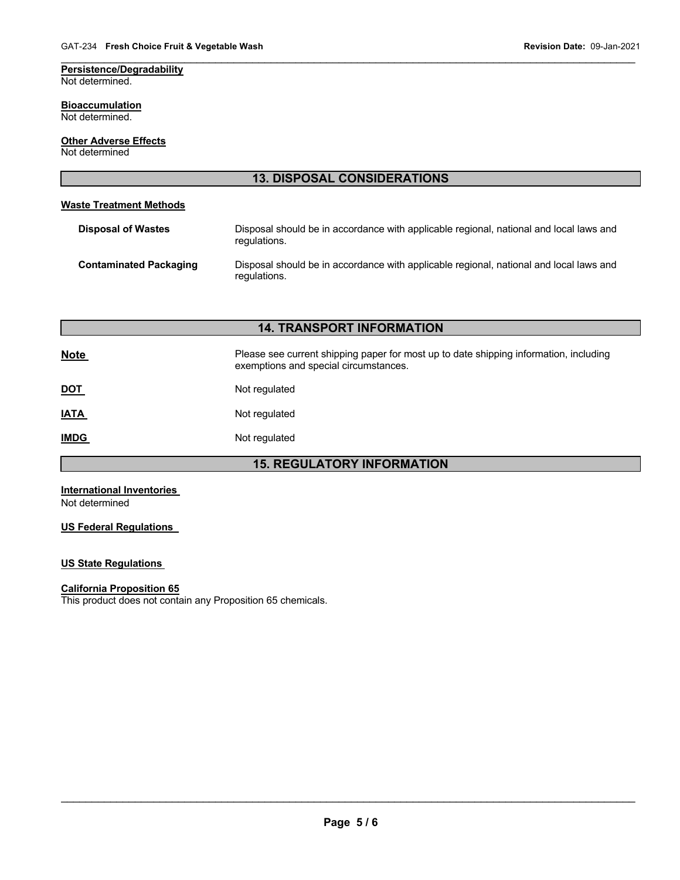### **Persistence/Degradability** Not determined.

#### **Bioaccumulation** Not determined.

**Other Adverse Effects** Not determined

| <b>13. DISPOSAL CONSIDERATIONS</b> |                                                                                                                                |  |  |
|------------------------------------|--------------------------------------------------------------------------------------------------------------------------------|--|--|
| <b>Waste Treatment Methods</b>     |                                                                                                                                |  |  |
| <b>Disposal of Wastes</b>          | Disposal should be in accordance with applicable regional, national and local laws and<br>regulations.                         |  |  |
| <b>Contaminated Packaging</b>      | Disposal should be in accordance with applicable regional, national and local laws and<br>regulations.                         |  |  |
|                                    |                                                                                                                                |  |  |
|                                    | <b>14. TRANSPORT INFORMATION</b>                                                                                               |  |  |
| <b>Note</b>                        | Please see current shipping paper for most up to date shipping information, including<br>exemptions and special circumstances. |  |  |
| <u>DOT</u>                         | Not regulated                                                                                                                  |  |  |
| <b>IATA</b>                        | Not regulated                                                                                                                  |  |  |

 $\mathcal{L}_\mathcal{L} = \mathcal{L}_\mathcal{L} = \mathcal{L}_\mathcal{L} = \mathcal{L}_\mathcal{L} = \mathcal{L}_\mathcal{L} = \mathcal{L}_\mathcal{L} = \mathcal{L}_\mathcal{L} = \mathcal{L}_\mathcal{L} = \mathcal{L}_\mathcal{L} = \mathcal{L}_\mathcal{L} = \mathcal{L}_\mathcal{L} = \mathcal{L}_\mathcal{L} = \mathcal{L}_\mathcal{L} = \mathcal{L}_\mathcal{L} = \mathcal{L}_\mathcal{L} = \mathcal{L}_\mathcal{L} = \mathcal{L}_\mathcal{L}$ 

**IMDG** Not regulated

**15. REGULATORY INFORMATION** 

**International Inventories**  Not determined

**US Federal Regulations** 

# **US State Regulations**

#### **California Proposition 65**

This product does not contain any Proposition 65 chemicals.